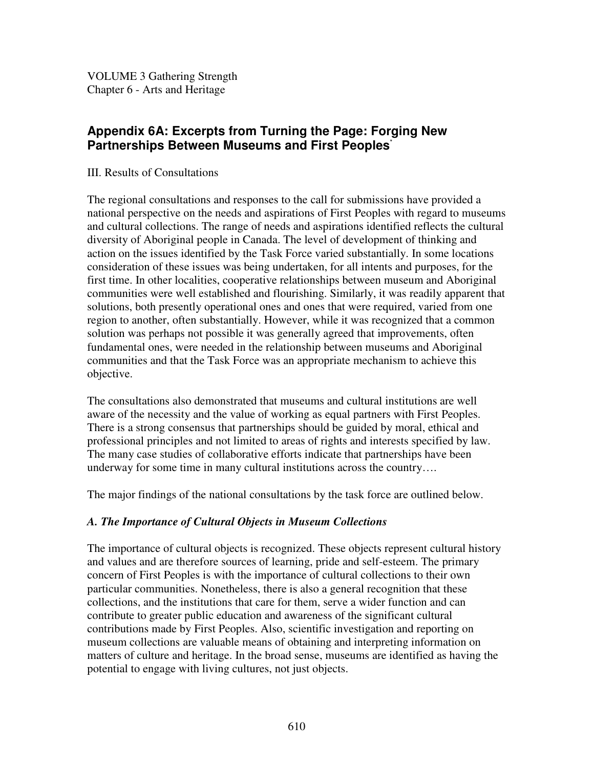# **Appendix 6A: Excerpts from Turning the Page: Forging New Partnerships Between Museums and First Peoples** \*

III. Results of Consultations

The regional consultations and responses to the call for submissions have provided a national perspective on the needs and aspirations of First Peoples with regard to museums and cultural collections. The range of needs and aspirations identified reflects the cultural diversity of Aboriginal people in Canada. The level of development of thinking and action on the issues identified by the Task Force varied substantially. In some locations consideration of these issues was being undertaken, for all intents and purposes, for the first time. In other localities, cooperative relationships between museum and Aboriginal communities were well established and flourishing. Similarly, it was readily apparent that solutions, both presently operational ones and ones that were required, varied from one region to another, often substantially. However, while it was recognized that a common solution was perhaps not possible it was generally agreed that improvements, often fundamental ones, were needed in the relationship between museums and Aboriginal communities and that the Task Force was an appropriate mechanism to achieve this objective.

The consultations also demonstrated that museums and cultural institutions are well aware of the necessity and the value of working as equal partners with First Peoples. There is a strong consensus that partnerships should be guided by moral, ethical and professional principles and not limited to areas of rights and interests specified by law. The many case studies of collaborative efforts indicate that partnerships have been underway for some time in many cultural institutions across the country….

The major findings of the national consultations by the task force are outlined below.

## *A. The Importance of Cultural Objects in Museum Collections*

The importance of cultural objects is recognized. These objects represent cultural history and values and are therefore sources of learning, pride and self-esteem. The primary concern of First Peoples is with the importance of cultural collections to their own particular communities. Nonetheless, there is also a general recognition that these collections, and the institutions that care for them, serve a wider function and can contribute to greater public education and awareness of the significant cultural contributions made by First Peoples. Also, scientific investigation and reporting on museum collections are valuable means of obtaining and interpreting information on matters of culture and heritage. In the broad sense, museums are identified as having the potential to engage with living cultures, not just objects.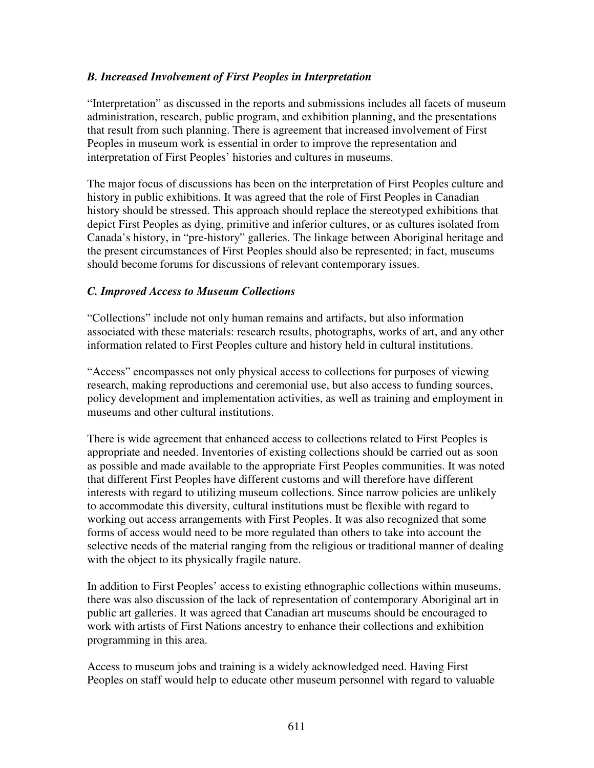### *B. Increased Involvement of First Peoples in Interpretation*

"Interpretation" as discussed in the reports and submissions includes all facets of museum administration, research, public program, and exhibition planning, and the presentations that result from such planning. There is agreement that increased involvement of First Peoples in museum work is essential in order to improve the representation and interpretation of First Peoples' histories and cultures in museums.

The major focus of discussions has been on the interpretation of First Peoples culture and history in public exhibitions. It was agreed that the role of First Peoples in Canadian history should be stressed. This approach should replace the stereotyped exhibitions that depict First Peoples as dying, primitive and inferior cultures, or as cultures isolated from Canada's history, in "pre-history" galleries. The linkage between Aboriginal heritage and the present circumstances of First Peoples should also be represented; in fact, museums should become forums for discussions of relevant contemporary issues.

#### *C. Improved Access to Museum Collections*

"Collections" include not only human remains and artifacts, but also information associated with these materials: research results, photographs, works of art, and any other information related to First Peoples culture and history held in cultural institutions.

"Access" encompasses not only physical access to collections for purposes of viewing research, making reproductions and ceremonial use, but also access to funding sources, policy development and implementation activities, as well as training and employment in museums and other cultural institutions.

There is wide agreement that enhanced access to collections related to First Peoples is appropriate and needed. Inventories of existing collections should be carried out as soon as possible and made available to the appropriate First Peoples communities. It was noted that different First Peoples have different customs and will therefore have different interests with regard to utilizing museum collections. Since narrow policies are unlikely to accommodate this diversity, cultural institutions must be flexible with regard to working out access arrangements with First Peoples. It was also recognized that some forms of access would need to be more regulated than others to take into account the selective needs of the material ranging from the religious or traditional manner of dealing with the object to its physically fragile nature.

In addition to First Peoples' access to existing ethnographic collections within museums, there was also discussion of the lack of representation of contemporary Aboriginal art in public art galleries. It was agreed that Canadian art museums should be encouraged to work with artists of First Nations ancestry to enhance their collections and exhibition programming in this area.

Access to museum jobs and training is a widely acknowledged need. Having First Peoples on staff would help to educate other museum personnel with regard to valuable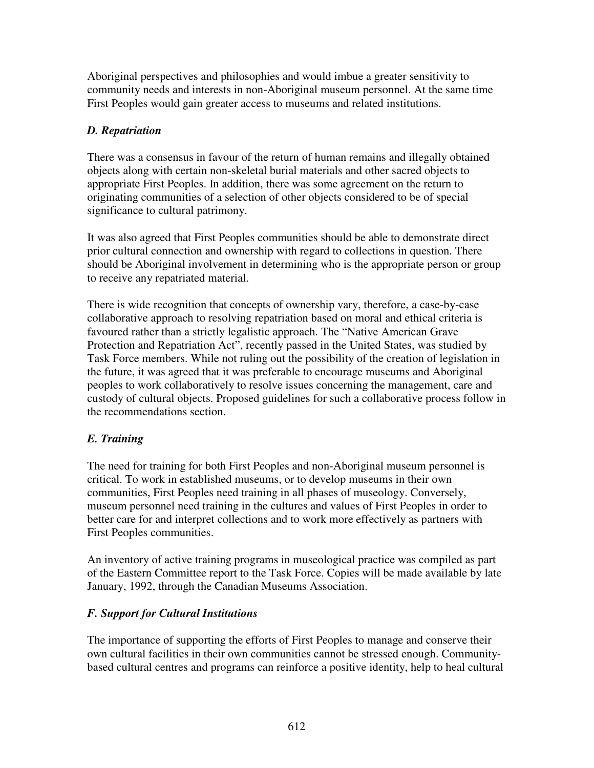Aboriginal perspectives and philosophies and would imbue a greater sensitivity to community needs and interests in non-Aboriginal museum personnel. At the same time First Peoples would gain greater access to museums and related institutions.

## *D. Repatriation*

There was a consensus in favour of the return of human remains and illegally obtained objects along with certain non-skeletal burial materials and other sacred objects to appropriate First Peoples. In addition, there was some agreement on the return to originating communities of a selection of other objects considered to be of special significance to cultural patrimony.

It was also agreed that First Peoples communities should be able to demonstrate direct prior cultural connection and ownership with regard to collections in question. There should be Aboriginal involvement in determining who is the appropriate person or group to receive any repatriated material.

There is wide recognition that concepts of ownership vary, therefore, a case-by-case collaborative approach to resolving repatriation based on moral and ethical criteria is favoured rather than a strictly legalistic approach. The "Native American Grave Protection and Repatriation Act", recently passed in the United States, was studied by Task Force members. While not ruling out the possibility of the creation of legislation in the future, it was agreed that it was preferable to encourage museums and Aboriginal peoples to work collaboratively to resolve issues concerning the management, care and custody of cultural objects. Proposed guidelines for such a collaborative process follow in the recommendations section.

## *E. Training*

The need for training for both First Peoples and non-Aboriginal museum personnel is critical. To work in established museums, or to develop museums in their own communities, First Peoples need training in all phases of museology. Conversely, museum personnel need training in the cultures and values of First Peoples in order to better care for and interpret collections and to work more effectively as partners with First Peoples communities.

An inventory of active training programs in museological practice was compiled as part of the Eastern Committee report to the Task Force. Copies will be made available by late January, 1992, through the Canadian Museums Association.

## *F. Support for Cultural Institutions*

The importance of supporting the efforts of First Peoples to manage and conserve their own cultural facilities in their own communities cannot be stressed enough. Communitybased cultural centres and programs can reinforce a positive identity, help to heal cultural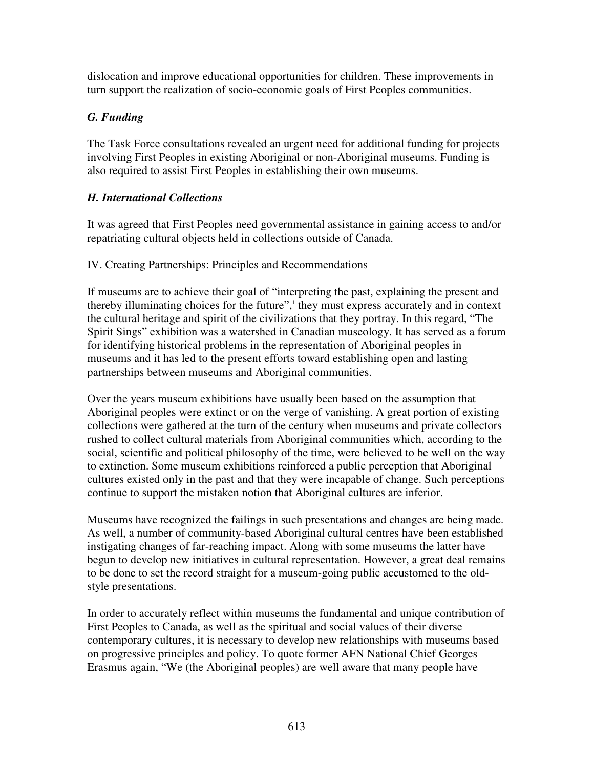dislocation and improve educational opportunities for children. These improvements in turn support the realization of socio-economic goals of First Peoples communities.

# *G. Funding*

The Task Force consultations revealed an urgent need for additional funding for projects involving First Peoples in existing Aboriginal or non-Aboriginal museums. Funding is also required to assist First Peoples in establishing their own museums.

# *H. International Collections*

It was agreed that First Peoples need governmental assistance in gaining access to and/or repatriating cultural objects held in collections outside of Canada.

# IV. Creating Partnerships: Principles and Recommendations

If museums are to achieve their goal of "interpreting the past, explaining the present and thereby illuminating choices for the future", 1 they must express accurately and in context the cultural heritage and spirit of the civilizations that they portray. In this regard, "The Spirit Sings" exhibition was a watershed in Canadian museology. It has served as a forum for identifying historical problems in the representation of Aboriginal peoples in museums and it has led to the present efforts toward establishing open and lasting partnerships between museums and Aboriginal communities.

Over the years museum exhibitions have usually been based on the assumption that Aboriginal peoples were extinct or on the verge of vanishing. A great portion of existing collections were gathered at the turn of the century when museums and private collectors rushed to collect cultural materials from Aboriginal communities which, according to the social, scientific and political philosophy of the time, were believed to be well on the way to extinction. Some museum exhibitions reinforced a public perception that Aboriginal cultures existed only in the past and that they were incapable of change. Such perceptions continue to support the mistaken notion that Aboriginal cultures are inferior.

Museums have recognized the failings in such presentations and changes are being made. As well, a number of community-based Aboriginal cultural centres have been established instigating changes of far-reaching impact. Along with some museums the latter have begun to develop new initiatives in cultural representation. However, a great deal remains to be done to set the record straight for a museum-going public accustomed to the oldstyle presentations.

In order to accurately reflect within museums the fundamental and unique contribution of First Peoples to Canada, as well as the spiritual and social values of their diverse contemporary cultures, it is necessary to develop new relationships with museums based on progressive principles and policy. To quote former AFN National Chief Georges Erasmus again, "We (the Aboriginal peoples) are well aware that many people have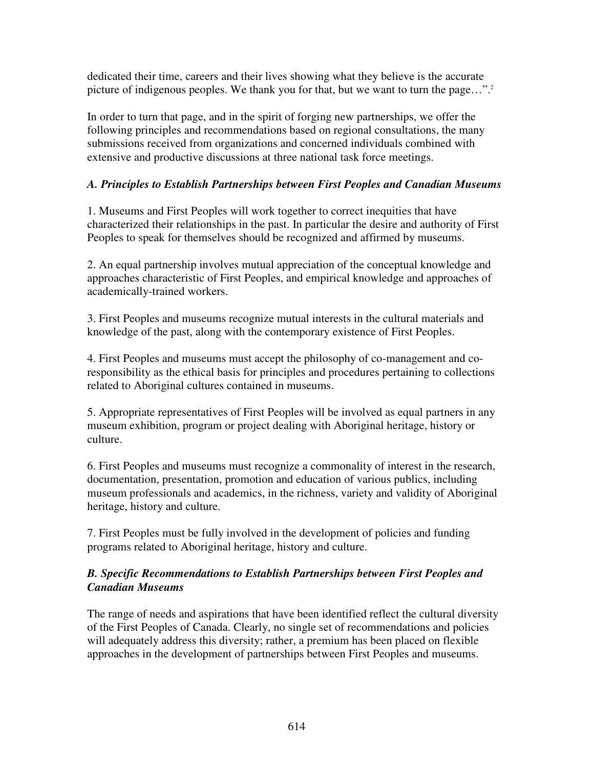dedicated their time, careers and their lives showing what they believe is the accurate picture of indigenous peoples. We thank you for that, but we want to turn the page...".<sup>2</sup>

In order to turn that page, and in the spirit of forging new partnerships, we offer the following principles and recommendations based on regional consultations, the many submissions received from organizations and concerned individuals combined with extensive and productive discussions at three national task force meetings.

## *A. Principles to Establish Partnerships between First Peoples and Canadian Museums*

1. Museums and First Peoples will work together to correct inequities that have characterized their relationships in the past. In particular the desire and authority of First Peoples to speak for themselves should be recognized and affirmed by museums.

2. An equal partnership involves mutual appreciation of the conceptual knowledge and approaches characteristic of First Peoples, and empirical knowledge and approaches of academically-trained workers.

3. First Peoples and museums recognize mutual interests in the cultural materials and knowledge of the past, along with the contemporary existence of First Peoples.

4. First Peoples and museums must accept the philosophy of co-management and coresponsibility as the ethical basis for principles and procedures pertaining to collections related to Aboriginal cultures contained in museums.

5. Appropriate representatives of First Peoples will be involved as equal partners in any museum exhibition, program or project dealing with Aboriginal heritage, history or culture.

6. First Peoples and museums must recognize a commonality of interest in the research, documentation, presentation, promotion and education of various publics, including museum professionals and academics, in the richness, variety and validity of Aboriginal heritage, history and culture.

7. First Peoples must be fully involved in the development of policies and funding programs related to Aboriginal heritage, history and culture.

## *B. Specific Recommendations to Establish Partnerships between First Peoples and Canadian Museums*

The range of needs and aspirations that have been identified reflect the cultural diversity of the First Peoples of Canada. Clearly, no single set of recommendations and policies will adequately address this diversity; rather, a premium has been placed on flexible approaches in the development of partnerships between First Peoples and museums.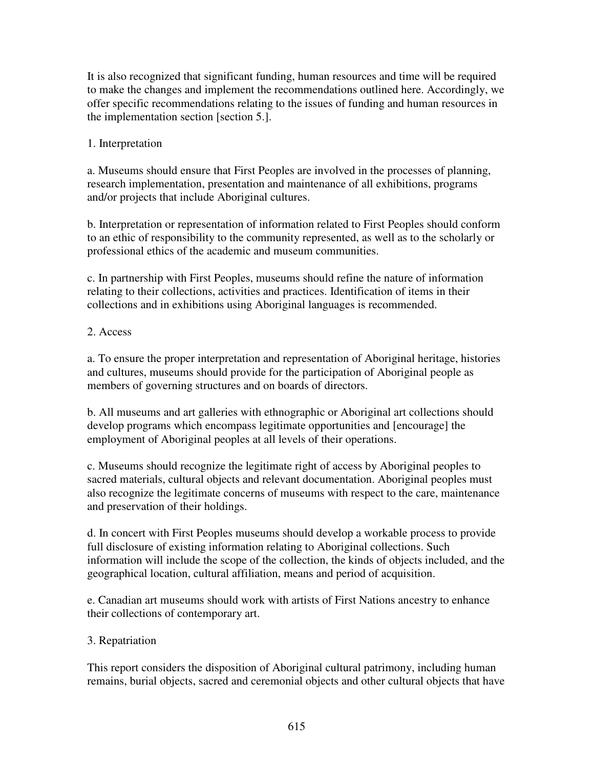It is also recognized that significant funding, human resources and time will be required to make the changes and implement the recommendations outlined here. Accordingly, we offer specific recommendations relating to the issues of funding and human resources in the implementation section [section 5.].

## 1. Interpretation

a. Museums should ensure that First Peoples are involved in the processes of planning, research implementation, presentation and maintenance of all exhibitions, programs and/or projects that include Aboriginal cultures.

b. Interpretation or representation of information related to First Peoples should conform to an ethic of responsibility to the community represented, as well as to the scholarly or professional ethics of the academic and museum communities.

c. In partnership with First Peoples, museums should refine the nature of information relating to their collections, activities and practices. Identification of items in their collections and in exhibitions using Aboriginal languages is recommended.

## 2. Access

a. To ensure the proper interpretation and representation of Aboriginal heritage, histories and cultures, museums should provide for the participation of Aboriginal people as members of governing structures and on boards of directors.

b. All museums and art galleries with ethnographic or Aboriginal art collections should develop programs which encompass legitimate opportunities and [encourage] the employment of Aboriginal peoples at all levels of their operations.

c. Museums should recognize the legitimate right of access by Aboriginal peoples to sacred materials, cultural objects and relevant documentation. Aboriginal peoples must also recognize the legitimate concerns of museums with respect to the care, maintenance and preservation of their holdings.

d. In concert with First Peoples museums should develop a workable process to provide full disclosure of existing information relating to Aboriginal collections. Such information will include the scope of the collection, the kinds of objects included, and the geographical location, cultural affiliation, means and period of acquisition.

e. Canadian art museums should work with artists of First Nations ancestry to enhance their collections of contemporary art.

## 3. Repatriation

This report considers the disposition of Aboriginal cultural patrimony, including human remains, burial objects, sacred and ceremonial objects and other cultural objects that have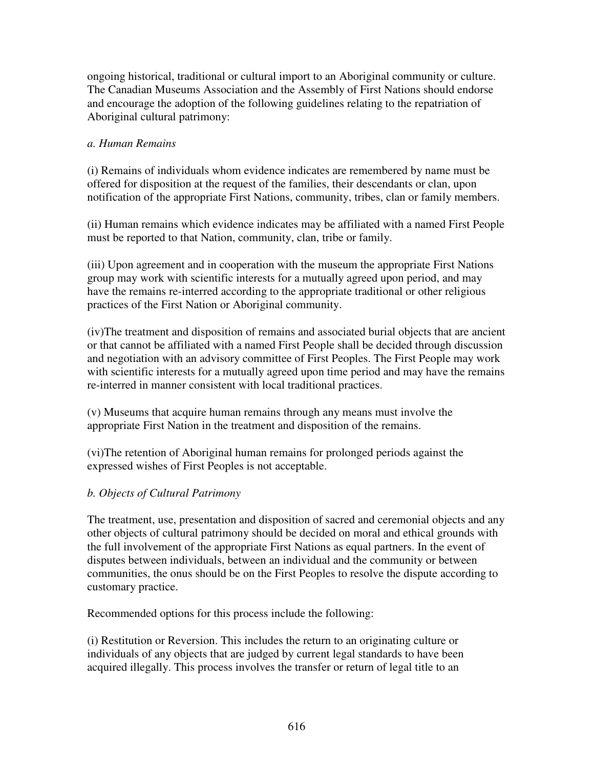ongoing historical, traditional or cultural import to an Aboriginal community or culture. The Canadian Museums Association and the Assembly of First Nations should endorse and encourage the adoption of the following guidelines relating to the repatriation of Aboriginal cultural patrimony:

### *a. Human Remains*

(i) Remains of individuals whom evidence indicates are remembered by name must be offered for disposition at the request of the families, their descendants or clan, upon notification of the appropriate First Nations, community, tribes, clan or family members.

(ii) Human remains which evidence indicates may be affiliated with a named First People must be reported to that Nation, community, clan, tribe or family.

(iii) Upon agreement and in cooperation with the museum the appropriate First Nations group may work with scientific interests for a mutually agreed upon period, and may have the remains re-interred according to the appropriate traditional or other religious practices of the First Nation or Aboriginal community.

(iv)The treatment and disposition of remains and associated burial objects that are ancient or that cannot be affiliated with a named First People shall be decided through discussion and negotiation with an advisory committee of First Peoples. The First People may work with scientific interests for a mutually agreed upon time period and may have the remains re-interred in manner consistent with local traditional practices.

(v) Museums that acquire human remains through any means must involve the appropriate First Nation in the treatment and disposition of the remains.

(vi)The retention of Aboriginal human remains for prolonged periods against the expressed wishes of First Peoples is not acceptable.

## *b. Objects of Cultural Patrimony*

The treatment, use, presentation and disposition of sacred and ceremonial objects and any other objects of cultural patrimony should be decided on moral and ethical grounds with the full involvement of the appropriate First Nations as equal partners. In the event of disputes between individuals, between an individual and the community or between communities, the onus should be on the First Peoples to resolve the dispute according to customary practice.

Recommended options for this process include the following:

(i) Restitution or Reversion. This includes the return to an originating culture or individuals of any objects that are judged by current legal standards to have been acquired illegally. This process involves the transfer or return of legal title to an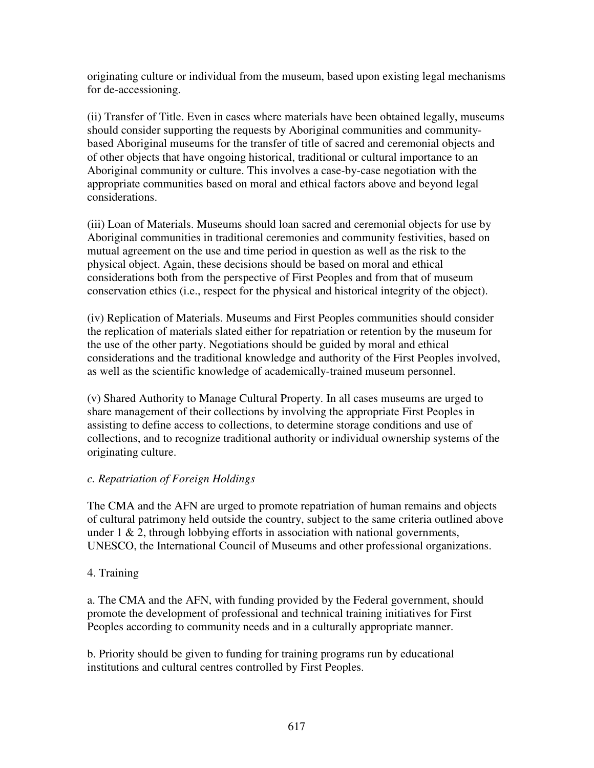originating culture or individual from the museum, based upon existing legal mechanisms for de-accessioning.

(ii) Transfer of Title. Even in cases where materials have been obtained legally, museums should consider supporting the requests by Aboriginal communities and communitybased Aboriginal museums for the transfer of title of sacred and ceremonial objects and of other objects that have ongoing historical, traditional or cultural importance to an Aboriginal community or culture. This involves a case-by-case negotiation with the appropriate communities based on moral and ethical factors above and beyond legal considerations.

(iii) Loan of Materials. Museums should loan sacred and ceremonial objects for use by Aboriginal communities in traditional ceremonies and community festivities, based on mutual agreement on the use and time period in question as well as the risk to the physical object. Again, these decisions should be based on moral and ethical considerations both from the perspective of First Peoples and from that of museum conservation ethics (i.e., respect for the physical and historical integrity of the object).

(iv) Replication of Materials. Museums and First Peoples communities should consider the replication of materials slated either for repatriation or retention by the museum for the use of the other party. Negotiations should be guided by moral and ethical considerations and the traditional knowledge and authority of the First Peoples involved, as well as the scientific knowledge of academically-trained museum personnel.

(v) Shared Authority to Manage Cultural Property. In all cases museums are urged to share management of their collections by involving the appropriate First Peoples in assisting to define access to collections, to determine storage conditions and use of collections, and to recognize traditional authority or individual ownership systems of the originating culture.

## *c. Repatriation of Foreign Holdings*

The CMA and the AFN are urged to promote repatriation of human remains and objects of cultural patrimony held outside the country, subject to the same criteria outlined above under  $1 \& 2$ , through lobbying efforts in association with national governments, UNESCO, the International Council of Museums and other professional organizations.

## 4. Training

a. The CMA and the AFN, with funding provided by the Federal government, should promote the development of professional and technical training initiatives for First Peoples according to community needs and in a culturally appropriate manner.

b. Priority should be given to funding for training programs run by educational institutions and cultural centres controlled by First Peoples.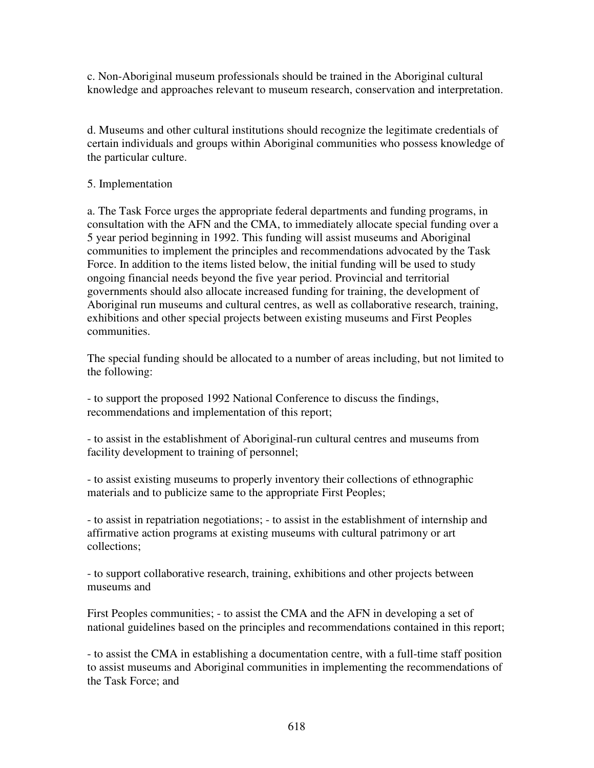c. Non-Aboriginal museum professionals should be trained in the Aboriginal cultural knowledge and approaches relevant to museum research, conservation and interpretation.

d. Museums and other cultural institutions should recognize the legitimate credentials of certain individuals and groups within Aboriginal communities who possess knowledge of the particular culture.

### 5. Implementation

a. The Task Force urges the appropriate federal departments and funding programs, in consultation with the AFN and the CMA, to immediately allocate special funding over a 5 year period beginning in 1992. This funding will assist museums and Aboriginal communities to implement the principles and recommendations advocated by the Task Force. In addition to the items listed below, the initial funding will be used to study ongoing financial needs beyond the five year period. Provincial and territorial governments should also allocate increased funding for training, the development of Aboriginal run museums and cultural centres, as well as collaborative research, training, exhibitions and other special projects between existing museums and First Peoples communities.

The special funding should be allocated to a number of areas including, but not limited to the following:

- to support the proposed 1992 National Conference to discuss the findings, recommendations and implementation of this report;

- to assist in the establishment of Aboriginal-run cultural centres and museums from facility development to training of personnel;

- to assist existing museums to properly inventory their collections of ethnographic materials and to publicize same to the appropriate First Peoples;

- to assist in repatriation negotiations; - to assist in the establishment of internship and affirmative action programs at existing museums with cultural patrimony or art collections;

- to support collaborative research, training, exhibitions and other projects between museums and

First Peoples communities; - to assist the CMA and the AFN in developing a set of national guidelines based on the principles and recommendations contained in this report;

- to assist the CMA in establishing a documentation centre, with a full-time staff position to assist museums and Aboriginal communities in implementing the recommendations of the Task Force; and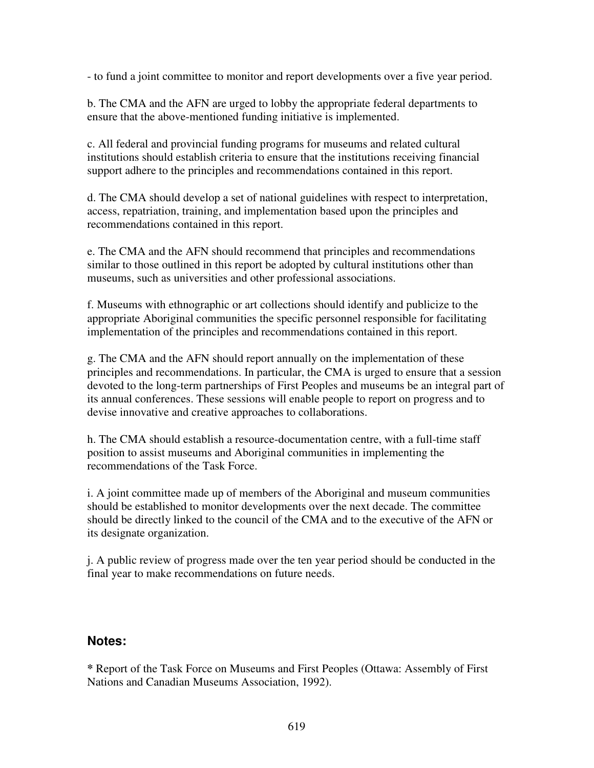- to fund a joint committee to monitor and report developments over a five year period.

b. The CMA and the AFN are urged to lobby the appropriate federal departments to ensure that the above-mentioned funding initiative is implemented.

c. All federal and provincial funding programs for museums and related cultural institutions should establish criteria to ensure that the institutions receiving financial support adhere to the principles and recommendations contained in this report.

d. The CMA should develop a set of national guidelines with respect to interpretation, access, repatriation, training, and implementation based upon the principles and recommendations contained in this report.

e. The CMA and the AFN should recommend that principles and recommendations similar to those outlined in this report be adopted by cultural institutions other than museums, such as universities and other professional associations.

f. Museums with ethnographic or art collections should identify and publicize to the appropriate Aboriginal communities the specific personnel responsible for facilitating implementation of the principles and recommendations contained in this report.

g. The CMA and the AFN should report annually on the implementation of these principles and recommendations. In particular, the CMA is urged to ensure that a session devoted to the long-term partnerships of First Peoples and museums be an integral part of its annual conferences. These sessions will enable people to report on progress and to devise innovative and creative approaches to collaborations.

h. The CMA should establish a resource-documentation centre, with a full-time staff position to assist museums and Aboriginal communities in implementing the recommendations of the Task Force.

i. A joint committee made up of members of the Aboriginal and museum communities should be established to monitor developments over the next decade. The committee should be directly linked to the council of the CMA and to the executive of the AFN or its designate organization.

j. A public review of progress made over the ten year period should be conducted in the final year to make recommendations on future needs.

## **Notes:**

**\*** Report of the Task Force on Museums and First Peoples (Ottawa: Assembly of First Nations and Canadian Museums Association, 1992).